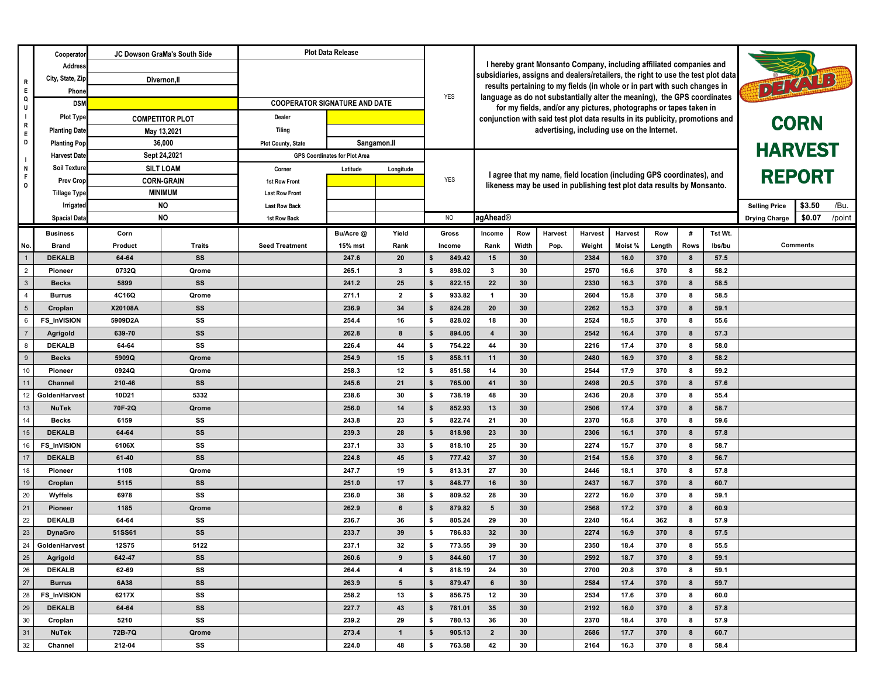|                                  | Cooperato                               |                                                                                                                                              | JC Dowson GraMa's South Side | <b>Plot Data Release</b>                 |                                      |                 |                                                                                                                                                                         |                                                                               |                                                                                                                                               |          |         |              |                                        |            |                |               |                      |                 |        |
|----------------------------------|-----------------------------------------|----------------------------------------------------------------------------------------------------------------------------------------------|------------------------------|------------------------------------------|--------------------------------------|-----------------|-------------------------------------------------------------------------------------------------------------------------------------------------------------------------|-------------------------------------------------------------------------------|-----------------------------------------------------------------------------------------------------------------------------------------------|----------|---------|--------------|----------------------------------------|------------|----------------|---------------|----------------------|-----------------|--------|
|                                  | Address                                 |                                                                                                                                              |                              |                                          |                                      |                 |                                                                                                                                                                         | I hereby grant Monsanto Company, including affiliated companies and           |                                                                                                                                               |          |         |              |                                        |            |                |               |                      |                 |        |
| R                                | City, State, Zip                        | Divernon, II                                                                                                                                 |                              |                                          |                                      |                 | subsidiaries, assigns and dealers/retailers, the right to use the test plot data<br>DEZNIE<br>results pertaining to my fields (in whole or in part with such changes in |                                                                               |                                                                                                                                               |          |         |              |                                        |            |                |               |                      |                 |        |
| E<br>Q                           | Phone                                   |                                                                                                                                              |                              |                                          |                                      |                 |                                                                                                                                                                         | <b>YES</b>                                                                    |                                                                                                                                               |          |         |              |                                        |            |                |               |                      |                 |        |
| U                                | <b>DSM</b>                              |                                                                                                                                              |                              | <b>COOPERATOR SIGNATURE AND DATE</b>     |                                      |                 |                                                                                                                                                                         |                                                                               | language as do not substantially alter the meaning), the GPS coordinates<br>for my fields, and/or any pictures, photographs or tapes taken in |          |         |              |                                        |            |                |               |                      |                 |        |
| $\sim 10$<br>R                   | <b>Plot Type</b>                        |                                                                                                                                              | <b>COMPETITOR PLOT</b>       | Dealer                                   |                                      |                 |                                                                                                                                                                         | conjunction with said test plot data results in its publicity, promotions and |                                                                                                                                               |          |         |              |                                        |            |                | <b>CORN</b>   |                      |                 |        |
| E                                | <b>Planting Date</b>                    |                                                                                                                                              | May 13,2021                  | <b>Tiling</b>                            |                                      |                 |                                                                                                                                                                         |                                                                               | advertising, including use on the Internet.                                                                                                   |          |         |              |                                        |            |                |               |                      |                 |        |
| D                                | <b>Planting Pop</b>                     | 36,000<br>Sept 24,2021                                                                                                                       |                              | Sangamon.II<br><b>Plot County, State</b> |                                      |                 |                                                                                                                                                                         |                                                                               |                                                                                                                                               |          |         |              |                                        |            | <b>HARVEST</b> |               |                      |                 |        |
| - 1                              | <b>Harvest Date</b>                     |                                                                                                                                              |                              |                                          | <b>GPS Coordinates for Plot Area</b> |                 |                                                                                                                                                                         |                                                                               |                                                                                                                                               |          |         |              |                                        |            |                |               |                      |                 |        |
| N<br>$\mathsf F$                 | <b>Soil Texture</b><br><b>SILT LOAM</b> |                                                                                                                                              |                              | Corner<br>Latitude                       |                                      | Longitude       |                                                                                                                                                                         |                                                                               | I agree that my name, field location (including GPS coordinates), and                                                                         |          |         |              |                                        |            |                | <b>REPORT</b> |                      |                 |        |
| $\mathsf{o}$                     |                                         | <b>CORN-GRAIN</b><br><b>Prev Crop</b><br><b>MINIMUM</b><br><b>Tillage Type</b><br><b>NO</b><br>Irrigated<br><b>NO</b><br><b>Spacial Data</b> |                              | 1st Row Front                            |                                      |                 |                                                                                                                                                                         | <b>YES</b>                                                                    | likeness may be used in publishing test plot data results by Monsanto.                                                                        |          |         |              |                                        |            |                |               |                      |                 |        |
|                                  |                                         |                                                                                                                                              |                              | <b>Last Row Front</b>                    |                                      |                 |                                                                                                                                                                         |                                                                               |                                                                                                                                               |          |         |              |                                        |            |                |               |                      |                 |        |
|                                  |                                         |                                                                                                                                              |                              | <b>Last Row Back</b>                     |                                      |                 | <b>NO</b>                                                                                                                                                               |                                                                               |                                                                                                                                               |          |         |              | \$3.50<br>/Bu.<br><b>Selling Price</b> |            |                |               |                      |                 |        |
|                                  |                                         |                                                                                                                                              |                              | 1st Row Back                             |                                      |                 |                                                                                                                                                                         |                                                                               | agAhead®                                                                                                                                      |          |         |              |                                        |            |                |               | <b>Drying Charge</b> | \$0.07          | /point |
|                                  | <b>Business</b>                         | Corn                                                                                                                                         |                              |                                          | Bu/Acre @                            | Yield           |                                                                                                                                                                         | Gross                                                                         | Income                                                                                                                                        | Row      | Harvest | Harvest      | Harvest                                | Row        | #              | Tst Wt.       |                      |                 |        |
| No.                              | <b>Brand</b>                            | Product                                                                                                                                      | <b>Traits</b>                | <b>Seed Treatment</b>                    | 15% mst                              | Rank            |                                                                                                                                                                         | Income                                                                        | Rank                                                                                                                                          | Width    | Pop.    | Weight       | Moist%                                 | Length     | <b>Rows</b>    | lbs/bu        |                      | <b>Comments</b> |        |
| $\overline{1}$<br>$\overline{2}$ | <b>DEKALB</b><br>Pioneer                | 64 64<br>0732Q                                                                                                                               | SS<br>Qrome                  |                                          | 247.6<br>265.1                       | 20<br>3         | \$<br>s                                                                                                                                                                 | 849.42<br>898.02                                                              | 15<br>$\mathbf{3}$                                                                                                                            | 30<br>30 |         | 2384<br>2570 | 16.0<br>16.6                           | 370<br>370 | 8<br>8         | 57.5<br>58.2  |                      |                 |        |
| $\mathbf{3}$                     | <b>Becks</b>                            | 5899                                                                                                                                         | SS                           |                                          | 241.2                                | 25              |                                                                                                                                                                         | 822.15                                                                        | 22                                                                                                                                            | 30       |         | 2330         | 16.3                                   | 370        | 8              | 58.5          |                      |                 |        |
| $\overline{4}$                   | <b>Burrus</b>                           | 4C16Q                                                                                                                                        | Qrome                        |                                          | 271.1                                | $\overline{2}$  | \$                                                                                                                                                                      | 933.82                                                                        | $\mathbf{1}$                                                                                                                                  | 30       |         | 2604         | 15.8                                   | 370        | 8              | 58.5          |                      |                 |        |
| $5\overline{5}$                  | Croplan                                 | X20108A                                                                                                                                      | SS                           |                                          | 236.9                                | 34              | \$                                                                                                                                                                      | 824.28                                                                        | 20                                                                                                                                            | 30       |         | 2262         | 15.3                                   | 370        | 8              | 59.1          |                      |                 |        |
| 6                                | <b>FS_InVISION</b>                      | 5909D2A                                                                                                                                      | SS                           |                                          | 254.4                                | 16              | s                                                                                                                                                                       | 828.02                                                                        | 18                                                                                                                                            | 30       |         | 2524         | 18.5                                   | 370        | 8              | 55.6          |                      |                 |        |
|                                  | Agrigold                                | 639-70                                                                                                                                       | SS                           |                                          | 262.8                                | 8               | S                                                                                                                                                                       | 894.05                                                                        | $\overline{\mathbf{4}}$                                                                                                                       | 30       |         | 2542         | 16.4                                   | 370        | 8              | 57.3          |                      |                 |        |
| 8                                | <b>DEKALB</b>                           | 64 64                                                                                                                                        | SS                           |                                          | 226.4                                | 44              | \$                                                                                                                                                                      | 754.22                                                                        | 44                                                                                                                                            | 30       |         | 2216         | 17.4                                   | 370        | 8              | 58.0          |                      |                 |        |
| 9                                | <b>Becks</b>                            | 5909Q                                                                                                                                        | Qrome                        |                                          | 254.9                                | 15              | \$                                                                                                                                                                      | 858.11                                                                        | 11                                                                                                                                            | 30       |         | 2480         | 16.9                                   | 370        | 8              | 58.2          |                      |                 |        |
| 10                               | Pioneer                                 | 0924Q                                                                                                                                        | Qrome                        |                                          | 258.3                                | 12              | \$                                                                                                                                                                      | 851.58                                                                        | 14                                                                                                                                            | 30       |         | 2544         | 17.9                                   | 370        | 8              | 59.2          |                      |                 |        |
| 11                               | Channel                                 | 210-46                                                                                                                                       | SS                           |                                          | 245.6                                | 21              | S                                                                                                                                                                       | 765.00                                                                        | 41                                                                                                                                            | 30       |         | 2498         | 20.5                                   | 370        | 8              | 57.6          |                      |                 |        |
| 12                               | GoldenHarvest                           | 10D21                                                                                                                                        | 5332                         |                                          | 238.6                                | 30              | \$                                                                                                                                                                      | 738.19                                                                        | 48                                                                                                                                            | 30       |         | 2436         | 20.8                                   | 370        | 8              | 55.4          |                      |                 |        |
| 13                               | <b>NuTek</b>                            | 70F-2Q                                                                                                                                       | Qrome                        |                                          | 256.0                                | 14              | S                                                                                                                                                                       | 852.93                                                                        | 13                                                                                                                                            | 30       |         | 2506         | 17.4                                   | 370        | 8              | 58.7          |                      |                 |        |
| 14                               | <b>Becks</b>                            | 6159                                                                                                                                         | SS                           |                                          | 243.8                                | 23              | \$                                                                                                                                                                      | 822.74                                                                        | 21                                                                                                                                            | 30       |         | 2370         | 16.8                                   | 370        | 8              | 59.6          |                      |                 |        |
| 15                               | <b>DEKALB</b>                           | 64-64                                                                                                                                        | SS                           |                                          | 239.3                                | 28              |                                                                                                                                                                         | 818.98                                                                        | 23                                                                                                                                            | 30       |         | 2306         | 16.1                                   | 370        | 8              | 57.8          |                      |                 |        |
| 16                               | <b>FS_InVISION</b>                      | 6106X                                                                                                                                        | SS                           |                                          | 237.1                                | 33              | \$                                                                                                                                                                      | 818.10                                                                        | 25                                                                                                                                            | 30       |         | 2274         | 15.7                                   | 370        | 8              | 58.7          |                      |                 |        |
| 17                               | <b>DEKALB</b>                           | 61-40                                                                                                                                        | SS                           |                                          | 224.8                                | 45              | \$                                                                                                                                                                      | 777.42                                                                        | 37                                                                                                                                            | 30       |         | 2154         | 15.6                                   | 370        | 8              | 56.7          |                      |                 |        |
| 18                               | Pioneer                                 | 1108                                                                                                                                         | Qrome                        |                                          | 247.7                                | 19              | \$                                                                                                                                                                      | 813.31                                                                        | 27                                                                                                                                            | 30       |         | 2446         | 18.1                                   | 370        | 8              | 57.8          |                      |                 |        |
| 19                               | Croplan                                 | 5115                                                                                                                                         | SS                           |                                          | 251.0                                | 17              |                                                                                                                                                                         | 848.77                                                                        | 16                                                                                                                                            | 30       |         | 2437         | 16.7                                   | 370        | 8              | 60.7          |                      |                 |        |
| 20                               | Wyffels                                 | 6978                                                                                                                                         | SS                           |                                          | 236.0                                | 38              | S                                                                                                                                                                       | 809.52                                                                        | 28                                                                                                                                            | 30       |         | 2272         | 16.0                                   | 370        | 8              | 59.1          |                      |                 |        |
| 21                               | Pioneer                                 | 1185                                                                                                                                         | Qrome                        |                                          | 262.9                                | 6               |                                                                                                                                                                         | 879.82                                                                        | 5                                                                                                                                             | 30       |         | 2568         | 17.2                                   | 370        | 8              | 60.9          |                      |                 |        |
| 22                               | <b>DEKALB</b>                           | 64-64                                                                                                                                        | SS                           |                                          | 236.7                                | 36              |                                                                                                                                                                         | 805.24                                                                        | 29                                                                                                                                            | 30       |         | 2240         | 16.4                                   | 362        | 8              | 57.9          |                      |                 |        |
| 23                               | <b>DynaGro</b>                          | 51SS61                                                                                                                                       | SS                           |                                          | 233.7                                | 39              | s                                                                                                                                                                       | 786.83                                                                        | 32                                                                                                                                            | 30       |         | 2274         | 16.9                                   | 370        | 8              | 57.5          |                      |                 |        |
|                                  | 24 GoldenHarvest                        | <b>12S75</b>                                                                                                                                 | 5122                         |                                          | 237.1                                | 32              | \$                                                                                                                                                                      | 773.55                                                                        | 39                                                                                                                                            | 30       |         | 2350         | 18.4                                   | 370        | 8              | 55.5          |                      |                 |        |
| 25<br>26                         | Agrigold                                | 642-47                                                                                                                                       | SS                           |                                          | 260.6                                | 9               | ŝ.                                                                                                                                                                      | 844.60                                                                        | 17                                                                                                                                            | 30       |         | 2592         | 18.7                                   | 370        | 8              | 59.1          |                      |                 |        |
| 27                               | <b>DEKALB</b>                           | 62-69                                                                                                                                        | SS                           |                                          | 264.4                                | 4               | \$                                                                                                                                                                      | 818.19                                                                        | 24                                                                                                                                            | 30       |         | 2700         | 20.8                                   | 370        | 8              | 59.1          |                      |                 |        |
| 28                               | <b>Burrus</b>                           | 6A38                                                                                                                                         | SS                           |                                          | 263.9                                | $5\phantom{.0}$ | \$                                                                                                                                                                      | 879.47                                                                        | 2584<br>17.4<br>8<br>6<br>30<br>370                                                                                                           |          |         | 59.7         |                                        |            |                |               |                      |                 |        |
| 29                               | <b>FS_InVISION</b><br><b>DEKALB</b>     | 6217X<br>64 64                                                                                                                               | SS<br>SS                     |                                          | 258.2<br>227.7                       | 13<br>43        | s<br>\$                                                                                                                                                                 | 856.75<br>781.01                                                              | 12<br>35                                                                                                                                      | 30<br>30 |         | 2534<br>2192 | 17.6<br>16.0                           | 370<br>370 | 8<br>8         | 60.0<br>57.8  |                      |                 |        |
| 30                               | Croplan                                 | 5210                                                                                                                                         | SS                           |                                          | 239.2                                | 29              | s                                                                                                                                                                       | 780.13                                                                        | 36                                                                                                                                            | 30       |         | 2370         | 18.4                                   | 370        | 8              | 57.9          |                      |                 |        |
| $\boxed{31}$                     | <b>NuTek</b>                            | 72B 7Q                                                                                                                                       | Qrome                        |                                          | 273.4                                | $\mathbf{1}$    | - \$                                                                                                                                                                    | 905.13                                                                        | $\overline{2}$                                                                                                                                | 30       |         | 2686         | 17.7                                   | 370        | 8              | 60.7          |                      |                 |        |
| 32                               |                                         |                                                                                                                                              |                              |                                          | 224.0                                |                 |                                                                                                                                                                         |                                                                               |                                                                                                                                               | 30       |         | 2164         |                                        | 370        |                |               |                      |                 |        |
|                                  | Channel                                 | 212-04                                                                                                                                       | SS                           |                                          |                                      | 48              | s                                                                                                                                                                       | 763.58                                                                        | 42                                                                                                                                            |          |         |              | 16.3                                   |            | 8              | 58.4          |                      |                 |        |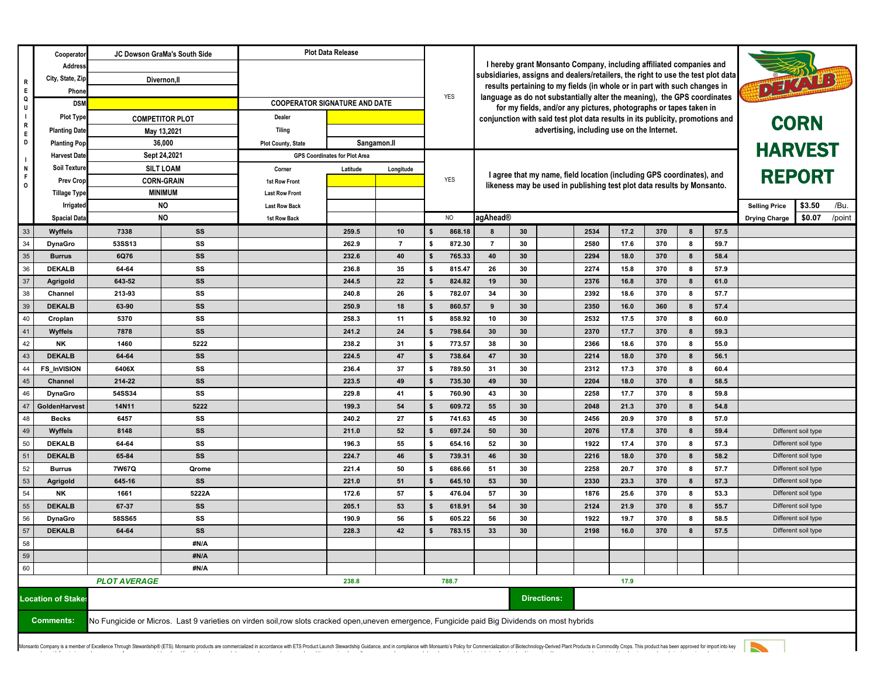|                     | Cooperator                                 | JC Dowson GraMa's South Side                                                      |                        | <b>Plot Data Release</b>                                                                                                                      |                                                     |                                                                                                                                                                         |                                      |                    |                                                                                              |          |                                                                          |              |              |            |        |              |                      |                                            |
|---------------------|--------------------------------------------|-----------------------------------------------------------------------------------|------------------------|-----------------------------------------------------------------------------------------------------------------------------------------------|-----------------------------------------------------|-------------------------------------------------------------------------------------------------------------------------------------------------------------------------|--------------------------------------|--------------------|----------------------------------------------------------------------------------------------|----------|--------------------------------------------------------------------------|--------------|--------------|------------|--------|--------------|----------------------|--------------------------------------------|
|                     | Address                                    |                                                                                   |                        |                                                                                                                                               |                                                     | I hereby grant Monsanto Company, including affiliated companies and                                                                                                     |                                      |                    |                                                                                              |          |                                                                          |              |              |            |        |              |                      |                                            |
| R                   | City, State, Zip                           | Divernon, II                                                                      |                        |                                                                                                                                               |                                                     | subsidiaries, assigns and dealers/retailers, the right to use the test plot data<br>DELAND<br>results pertaining to my fields (in whole or in part with such changes in |                                      |                    |                                                                                              |          |                                                                          |              |              |            |        |              |                      |                                            |
| E<br>Q              | Phone                                      |                                                                                   |                        |                                                                                                                                               |                                                     |                                                                                                                                                                         | YES                                  |                    |                                                                                              |          | language as do not substantially alter the meaning), the GPS coordinates |              |              |            |        |              |                      |                                            |
| U                   | <b>DSM</b>                                 |                                                                                   |                        | <b>COOPERATOR SIGNATURE AND DATE</b>                                                                                                          |                                                     |                                                                                                                                                                         |                                      |                    |                                                                                              |          | for my fields, and/or any pictures, photographs or tapes taken in        |              |              |            |        |              |                      |                                            |
| $\blacksquare$<br>R | <b>Plot Type</b>                           |                                                                                   | <b>COMPETITOR PLOT</b> | Dealer                                                                                                                                        |                                                     |                                                                                                                                                                         |                                      |                    | conjunction with said test plot data results in its publicity, promotions and<br><b>CORN</b> |          |                                                                          |              |              |            |        |              |                      |                                            |
| E                   | <b>Planting Date</b>                       |                                                                                   | May 13,2021            | <b>Tiling</b>                                                                                                                                 |                                                     |                                                                                                                                                                         |                                      |                    | advertising, including use on the Internet.                                                  |          |                                                                          |              |              |            |        |              |                      |                                            |
| D                   | <b>Planting Pop</b>                        | 36,000<br>Sept 24,2021<br><b>SILT LOAM</b><br><b>CORN-GRAIN</b><br><b>MINIMUM</b> |                        | <b>Plot County, State</b>                                                                                                                     | Sangamon.ll<br><b>GPS Coordinates for Plot Area</b> |                                                                                                                                                                         |                                      | <b>HARVEST</b>     |                                                                                              |          |                                                                          |              |              |            |        |              |                      |                                            |
| $\blacksquare$<br>N | <b>Harvest Date</b><br><b>Soil Texture</b> |                                                                                   |                        | Latitude<br>Corner                                                                                                                            |                                                     |                                                                                                                                                                         |                                      |                    |                                                                                              |          |                                                                          |              |              |            |        |              |                      |                                            |
| F                   | <b>Prev Crop</b>                           |                                                                                   |                        | 1st Row Front                                                                                                                                 |                                                     | Longitude                                                                                                                                                               | <b>YES</b>                           |                    | <b>REPORT</b><br>I agree that my name, field location (including GPS coordinates), and       |          |                                                                          |              |              |            |        |              |                      |                                            |
| $\mathsf{o}$        | <b>Tillage Type</b>                        |                                                                                   |                        | <b>Last Row Front</b>                                                                                                                         |                                                     |                                                                                                                                                                         |                                      |                    |                                                                                              |          | likeness may be used in publishing test plot data results by Monsanto.   |              |              |            |        |              |                      |                                            |
|                     | Irrigated                                  |                                                                                   | <b>NO</b>              | <b>Last Row Back</b>                                                                                                                          |                                                     |                                                                                                                                                                         |                                      |                    |                                                                                              |          |                                                                          |              |              |            |        |              | <b>Selling Price</b> | \$3.50<br>/Bu.                             |
|                     | <b>Spacial Data</b>                        |                                                                                   | <b>NO</b>              | 1st Row Back                                                                                                                                  |                                                     |                                                                                                                                                                         | NO                                   |                    | agAhead®                                                                                     |          |                                                                          |              |              |            |        |              | <b>Drying Charge</b> | \$0.07<br>/point                           |
| 33                  | Wyffels                                    | 7338                                                                              | SS                     |                                                                                                                                               | 259.5                                               | 10                                                                                                                                                                      | 868.18<br>S                          |                    | 8                                                                                            | 30       |                                                                          | 2534         | 17.2         | 370        | 8      | 57.5         |                      |                                            |
| 34                  | <b>DynaGro</b>                             | <b>53SS13</b>                                                                     | SS                     |                                                                                                                                               | 262.9                                               | $\overline{7}$                                                                                                                                                          | 872.30<br>\$                         |                    | $\overline{7}$                                                                               | 30       |                                                                          | 2580         | 17.6         | 370        | 8      | 59.7         |                      |                                            |
| 35                  | <b>Burrus</b>                              | 6Q76                                                                              | SS                     |                                                                                                                                               | 232.6                                               | 40                                                                                                                                                                      | 765.33<br>-9                         |                    | 40                                                                                           | 30       |                                                                          | 2294         | 18.0         | 370        | 8      | 58.4         |                      |                                            |
| 36                  | <b>DEKALB</b>                              | 64-64                                                                             | SS                     |                                                                                                                                               | 236.8                                               | 35                                                                                                                                                                      | 815.47<br>- \$                       |                    | 26                                                                                           | 30       |                                                                          | 2274         | 15.8         | 370        | 8      | 57.9         |                      |                                            |
| 37                  | Agrigold                                   | 643 52                                                                            | SS                     |                                                                                                                                               | 244.5                                               | 22                                                                                                                                                                      | 824.82<br>- 9                        |                    | 19                                                                                           | 30       |                                                                          | 2376         | 16.8         | 370        | 8      | 61.0         |                      |                                            |
| 38                  | Channel                                    | 213-93                                                                            | SS                     |                                                                                                                                               | 240.8                                               | 26                                                                                                                                                                      | 782.07<br>- \$                       |                    | 34                                                                                           | 30       |                                                                          | 2392         | 18.6         | 370        | 8      | 57.7         |                      |                                            |
| 39                  | <b>DEKALB</b>                              | 63-90                                                                             | SS                     |                                                                                                                                               | 250.9                                               | 18                                                                                                                                                                      | 860.57<br><b>S</b>                   |                    | 9                                                                                            | 30       |                                                                          | 2350         | 16.0         | 360        | 8      | 57.4         |                      |                                            |
| 40                  | Croplan                                    | 5370                                                                              | SS                     |                                                                                                                                               | 258.3                                               | 11                                                                                                                                                                      | -S<br>858.92                         |                    | 10                                                                                           | 30       |                                                                          | 2532         | 17.5         | 370        | 8      | 60.0         |                      |                                            |
| 41                  | Wyffels                                    | 7878                                                                              | SS                     |                                                                                                                                               | 241.2                                               | 24                                                                                                                                                                      | <b>S</b><br>798.64                   |                    | 30                                                                                           | 30       |                                                                          | 2370         | 17.7         | 370        | 8      | 59.3         |                      |                                            |
| 42<br>43            | <b>NK</b><br><b>DEKALB</b>                 | 1460<br>64-64                                                                     | 5222<br>SS             |                                                                                                                                               | 238.2<br>224.5                                      | 31<br>47                                                                                                                                                                | 773.57<br>- \$<br><b>S</b><br>738.64 |                    | 38<br>47                                                                                     | 30<br>30 |                                                                          | 2366<br>2214 | 18.6<br>18.0 | 370<br>370 | 8<br>8 | 55.0<br>56.1 |                      |                                            |
| 44                  | <b>FS_InVISION</b>                         | 6406X                                                                             | SS                     |                                                                                                                                               | 236.4                                               | 37                                                                                                                                                                      | 789.50<br>- \$                       |                    | 31                                                                                           | 30       |                                                                          | 2312         | 17.3         | 370        | 8      | 60.4         |                      |                                            |
| 45                  | Channel                                    | 214-22                                                                            | SS                     |                                                                                                                                               | 223.5                                               | 49                                                                                                                                                                      | 735.30<br>-9                         |                    | 49                                                                                           | 30       |                                                                          | 2204         | 18.0         | 370        | 8      | 58.5         |                      |                                            |
| 46                  | <b>DynaGro</b>                             | 54SS34                                                                            | SS                     |                                                                                                                                               | 229.8                                               | 41                                                                                                                                                                      | 760.90<br>-S                         |                    | 43                                                                                           | 30       |                                                                          | 2258         | 17.7         | 370        | 8      | 59.8         |                      |                                            |
| 47                  | GoldenHarvest                              | 14N11                                                                             | 5222                   |                                                                                                                                               | 199.3                                               | 54                                                                                                                                                                      | 609.72<br>- 9                        |                    | 55                                                                                           | 30       |                                                                          | 2048         | 21.3         | 370        | 8      | 54.8         |                      |                                            |
| 48                  | <b>Becks</b>                               | 6457                                                                              | SS                     |                                                                                                                                               | 240.2                                               | 27                                                                                                                                                                      | -S<br>741.63                         |                    | 45                                                                                           | 30       |                                                                          | 2456         | 20.9         | 370        | 8      | 57.0         |                      |                                            |
| 49                  | Wyffels                                    | 8148                                                                              | SS                     |                                                                                                                                               | 211.0                                               | 52                                                                                                                                                                      | 697.24<br>ŝ.                         |                    | 50                                                                                           | 30       |                                                                          | 2076         | 17.8         | 370        | 8      | 59.4         |                      | Different soil type                        |
| 50                  | <b>DEKALB</b>                              | 64-64                                                                             | SS                     |                                                                                                                                               | 196.3                                               | 55                                                                                                                                                                      | 654.16<br>- \$                       |                    | 52                                                                                           | 30       |                                                                          | 1922         | 17.4         | 370        | 8      | 57.3         |                      | Different soil type                        |
| 51                  | <b>DEKALB</b>                              | 65-84                                                                             | SS                     |                                                                                                                                               | 224.7                                               | 46                                                                                                                                                                      | 739.31<br>\$                         |                    | 46                                                                                           | 30       |                                                                          | 2216         | 18.0         | 370        | 8      | 58.2         |                      | Different soil type                        |
| 52                  | <b>Burrus</b>                              | 7W67Q                                                                             | Qrome                  |                                                                                                                                               | 221.4                                               | 50                                                                                                                                                                      | 686.66<br>-S                         |                    | 51                                                                                           | 30       |                                                                          | 2258         | 20.7         | 370        | 8      | 57.7         |                      | Different soil type                        |
| 53                  | Agrigold                                   | 645-16                                                                            | SS                     |                                                                                                                                               | 221.0                                               | 51                                                                                                                                                                      | 645.10<br>- \$                       |                    | 53                                                                                           | 30       |                                                                          | 2330         | 23.3         | 370        | 8      | 57.3         |                      | Different soil type                        |
| 54                  | NK                                         | 1661                                                                              | 5222A                  |                                                                                                                                               | 172.6                                               | 57                                                                                                                                                                      | 476.04<br>- \$                       |                    | 57                                                                                           | 30       |                                                                          | 1876         | 25.6         | 370        | 8      | 53.3         |                      | Different soil type                        |
| 55                  | <b>DEKALB</b>                              | 67 37                                                                             | SS                     |                                                                                                                                               | 205.1                                               | 53                                                                                                                                                                      | 618.91<br>S                          |                    | 54                                                                                           | 30       |                                                                          | 2124         | 21.9         | 370        | 8      | 55.7         |                      | Different soil type                        |
| 56<br>57            | <b>DynaGro</b><br><b>DEKALB</b>            | <b>58SS65</b><br>64-64                                                            | SS<br>SS               |                                                                                                                                               | 190.9<br>228.3                                      | 56<br>42                                                                                                                                                                | 605.22<br>s<br>783.15                |                    | 56<br>33                                                                                     | 30<br>30 |                                                                          | 1922<br>2198 | 19.7<br>16.0 | 370<br>370 | 8<br>8 | 58.5<br>57.5 |                      | Different soil type<br>Different soil type |
| 58                  |                                            |                                                                                   | #N/A                   |                                                                                                                                               |                                                     |                                                                                                                                                                         |                                      |                    |                                                                                              |          |                                                                          |              |              |            |        |              |                      |                                            |
| 59                  |                                            |                                                                                   | #N/A                   |                                                                                                                                               |                                                     |                                                                                                                                                                         |                                      |                    |                                                                                              |          |                                                                          |              |              |            |        |              |                      |                                            |
| 60                  |                                            |                                                                                   | #N/A                   |                                                                                                                                               |                                                     |                                                                                                                                                                         |                                      |                    |                                                                                              |          |                                                                          |              |              |            |        |              |                      |                                            |
|                     |                                            | <b>PLOT AVERAGE</b>                                                               |                        |                                                                                                                                               | 238.8                                               |                                                                                                                                                                         | 788.7                                |                    |                                                                                              |          | 17.9                                                                     |              |              |            |        |              |                      |                                            |
|                     | <b>Location of Stakes</b>                  |                                                                                   |                        |                                                                                                                                               |                                                     |                                                                                                                                                                         |                                      | <b>Directions:</b> |                                                                                              |          |                                                                          |              |              |            |        |              |                      |                                            |
|                     |                                            |                                                                                   |                        |                                                                                                                                               |                                                     |                                                                                                                                                                         |                                      |                    |                                                                                              |          |                                                                          |              |              |            |        |              |                      |                                            |
|                     | <b>Comments:</b>                           |                                                                                   |                        | No Fungicide or Micros. Last 9 varieties on virden soil,row slots cracked open,uneven emergence, Fungicide paid Big Dividends on most hybrids |                                                     |                                                                                                                                                                         |                                      |                    |                                                                                              |          |                                                                          |              |              |            |        |              |                      |                                            |
|                     |                                            |                                                                                   |                        |                                                                                                                                               |                                                     |                                                                                                                                                                         |                                      |                    |                                                                                              |          |                                                                          |              |              |            |        |              |                      |                                            |